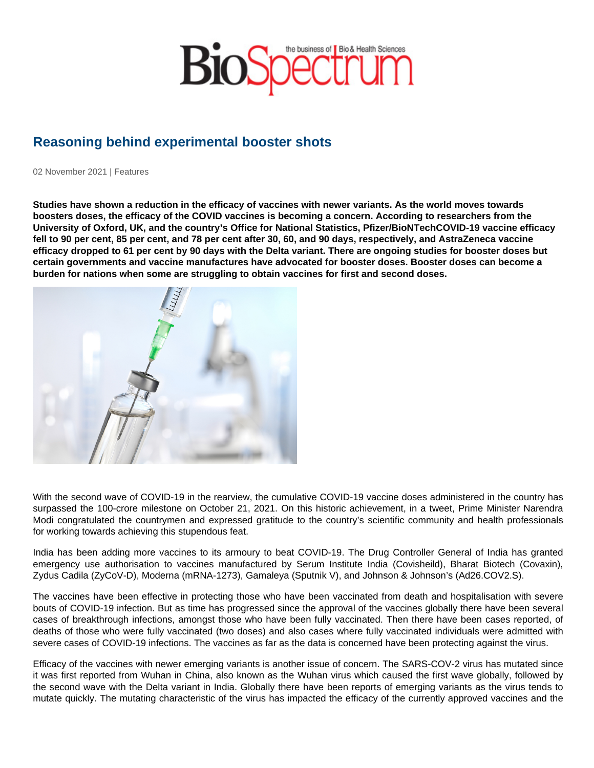## Reasoning behind experimental booster shots

02 November 2021 | Features

Studies have shown a reduction in the efficacy of vaccines with newer variants. As the world moves towards boosters doses, the efficacy of the COVID vaccines is becoming a concern. According to researchers from the University of Oxford, UK, and the country's Office for National Statistics, Pfizer/BioNTechCOVID-19 vaccine efficacy fell to 90 per cent, 85 per cent, and 78 per cent after 30, 60, and 90 days, respectively, and AstraZeneca vaccine efficacy dropped to 61 per cent by 90 days with the Delta variant. There are ongoing studies for booster doses but certain governments and vaccine manufactures have advocated for booster doses. Booster doses can become a burden for nations when some are struggling to obtain vaccines for first and second doses.

With the second wave of COVID-19 in the rearview, the cumulative COVID-19 vaccine doses administered in the country has surpassed the 100-crore milestone on October 21, 2021. On this historic achievement, in a tweet, Prime Minister Narendra Modi congratulated the countrymen and expressed gratitude to the country's scientific community and health professionals for working towards achieving this stupendous feat.

India has been adding more vaccines to its armoury to beat COVID-19. The Drug Controller General of India has granted emergency use authorisation to vaccines manufactured by Serum Institute India (Covisheild), Bharat Biotech (Covaxin), Zydus Cadila (ZyCoV-D), Moderna (mRNA-1273), Gamaleya (Sputnik V), and Johnson & Johnson's (Ad26.COV2.S).

The vaccines have been effective in protecting those who have been vaccinated from death and hospitalisation with severe bouts of COVID-19 infection. But as time has progressed since the approval of the vaccines globally there have been several cases of breakthrough infections, amongst those who have been fully vaccinated. Then there have been cases reported, of deaths of those who were fully vaccinated (two doses) and also cases where fully vaccinated individuals were admitted with severe cases of COVID-19 infections. The vaccines as far as the data is concerned have been protecting against the virus.

Efficacy of the vaccines with newer emerging variants is another issue of concern. The SARS-COV-2 virus has mutated since it was first reported from Wuhan in China, also known as the Wuhan virus which caused the first wave globally, followed by the second wave with the Delta variant in India. Globally there have been reports of emerging variants as the virus tends to mutate quickly. The mutating characteristic of the virus has impacted the efficacy of the currently approved vaccines and the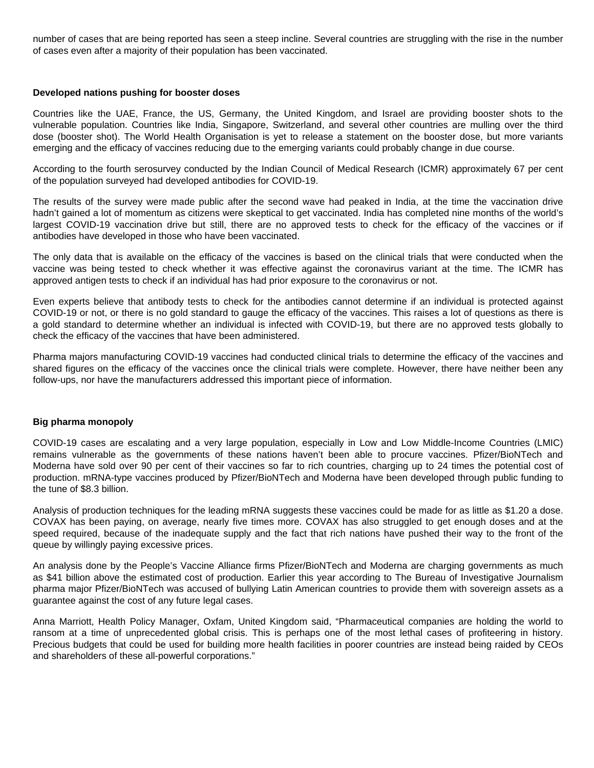number of cases that are being reported has seen a steep incline. Several countries are struggling with the rise in the number of cases even after a majority of their population has been vaccinated.

## **Developed nations pushing for booster doses**

Countries like the UAE, France, the US, Germany, the United Kingdom, and Israel are providing booster shots to the vulnerable population. Countries like India, Singapore, Switzerland, and several other countries are mulling over the third dose (booster shot). The World Health Organisation is yet to release a statement on the booster dose, but more variants emerging and the efficacy of vaccines reducing due to the emerging variants could probably change in due course.

According to the fourth serosurvey conducted by the Indian Council of Medical Research (ICMR) approximately 67 per cent of the population surveyed had developed antibodies for COVID-19.

The results of the survey were made public after the second wave had peaked in India, at the time the vaccination drive hadn't gained a lot of momentum as citizens were skeptical to get vaccinated. India has completed nine months of the world's largest COVID-19 vaccination drive but still, there are no approved tests to check for the efficacy of the vaccines or if antibodies have developed in those who have been vaccinated.

The only data that is available on the efficacy of the vaccines is based on the clinical trials that were conducted when the vaccine was being tested to check whether it was effective against the coronavirus variant at the time. The ICMR has approved antigen tests to check if an individual has had prior exposure to the coronavirus or not.

Even experts believe that antibody tests to check for the antibodies cannot determine if an individual is protected against COVID-19 or not, or there is no gold standard to gauge the efficacy of the vaccines. This raises a lot of questions as there is a gold standard to determine whether an individual is infected with COVID-19, but there are no approved tests globally to check the efficacy of the vaccines that have been administered.

Pharma majors manufacturing COVID-19 vaccines had conducted clinical trials to determine the efficacy of the vaccines and shared figures on the efficacy of the vaccines once the clinical trials were complete. However, there have neither been any follow-ups, nor have the manufacturers addressed this important piece of information.

## **Big pharma monopoly**

COVID-19 cases are escalating and a very large population, especially in Low and Low Middle-Income Countries (LMIC) remains vulnerable as the governments of these nations haven't been able to procure vaccines. Pfizer/BioNTech and Moderna have sold over 90 per cent of their vaccines so far to rich countries, charging up to 24 times the potential cost of production. mRNA-type vaccines produced by Pfizer/BioNTech and Moderna have been developed through public funding to the tune of \$8.3 billion.

Analysis of production techniques for the leading mRNA suggests these vaccines could be made for as little as \$1.20 a dose. COVAX has been paying, on average, nearly five times more. COVAX has also struggled to get enough doses and at the speed required, because of the inadequate supply and the fact that rich nations have pushed their way to the front of the queue by willingly paying excessive prices.

An analysis done by the People's Vaccine Alliance firms Pfizer/BioNTech and Moderna are charging governments as much as \$41 billion above the estimated cost of production. Earlier this year according to The Bureau of Investigative Journalism pharma major Pfizer/BioNTech was accused of bullying Latin American countries to provide them with sovereign assets as a guarantee against the cost of any future legal cases.

Anna Marriott, Health Policy Manager, Oxfam, United Kingdom said, "Pharmaceutical companies are holding the world to ransom at a time of unprecedented global crisis. This is perhaps one of the most lethal cases of profiteering in history. Precious budgets that could be used for building more health facilities in poorer countries are instead being raided by CEOs and shareholders of these all-powerful corporations."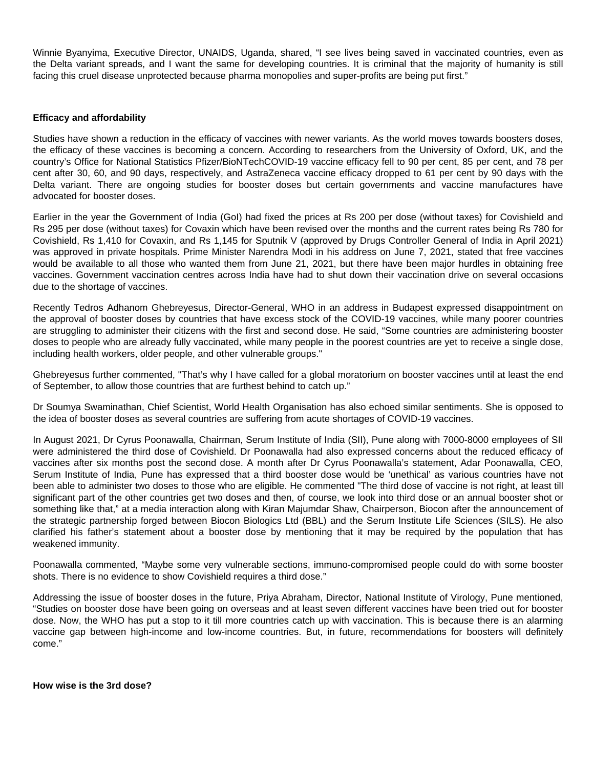Winnie Byanyima, Executive Director, UNAIDS, Uganda, shared, "I see lives being saved in vaccinated countries, even as the Delta variant spreads, and I want the same for developing countries. It is criminal that the majority of humanity is still facing this cruel disease unprotected because pharma monopolies and super-profits are being put first."

## **Efficacy and affordability**

Studies have shown a reduction in the efficacy of vaccines with newer variants. As the world moves towards boosters doses, the efficacy of these vaccines is becoming a concern. According to researchers from the University of Oxford, UK, and the country's Office for National Statistics Pfizer/BioNTechCOVID-19 vaccine efficacy fell to 90 per cent, 85 per cent, and 78 per cent after 30, 60, and 90 days, respectively, and AstraZeneca vaccine efficacy dropped to 61 per cent by 90 days with the Delta variant. There are ongoing studies for booster doses but certain governments and vaccine manufactures have advocated for booster doses.

Earlier in the year the Government of India (GoI) had fixed the prices at Rs 200 per dose (without taxes) for Covishield and Rs 295 per dose (without taxes) for Covaxin which have been revised over the months and the current rates being Rs 780 for Covishield, Rs 1,410 for Covaxin, and Rs 1,145 for Sputnik V (approved by Drugs Controller General of India in April 2021) was approved in private hospitals. Prime Minister Narendra Modi in his address on June 7, 2021, stated that free vaccines would be available to all those who wanted them from June 21, 2021, but there have been major hurdles in obtaining free vaccines. Government vaccination centres across India have had to shut down their vaccination drive on several occasions due to the shortage of vaccines.

Recently Tedros Adhanom Ghebreyesus, Director-General, WHO in an address in Budapest expressed disappointment on the approval of booster doses by countries that have excess stock of the COVID-19 vaccines, while many poorer countries are struggling to administer their citizens with the first and second dose. He said, "Some countries are administering booster doses to people who are already fully vaccinated, while many people in the poorest countries are yet to receive a single dose, including health workers, older people, and other vulnerable groups."

Ghebreyesus further commented, "That's why I have called for a global moratorium on booster vaccines until at least the end of September, to allow those countries that are furthest behind to catch up."

Dr Soumya Swaminathan, Chief Scientist, World Health Organisation has also echoed similar sentiments. She is opposed to the idea of booster doses as several countries are suffering from acute shortages of COVID-19 vaccines.

In August 2021, Dr Cyrus Poonawalla, Chairman, Serum Institute of India (SII), Pune along with 7000-8000 employees of SII were administered the third dose of Covishield. Dr Poonawalla had also expressed concerns about the reduced efficacy of vaccines after six months post the second dose. A month after Dr Cyrus Poonawalla's statement, Adar Poonawalla, CEO, Serum Institute of India, Pune has expressed that a third booster dose would be 'unethical' as various countries have not been able to administer two doses to those who are eligible. He commented "The third dose of vaccine is not right, at least till significant part of the other countries get two doses and then, of course, we look into third dose or an annual booster shot or something like that," at a media interaction along with Kiran Majumdar Shaw, Chairperson, Biocon after the announcement of the strategic partnership forged between Biocon Biologics Ltd (BBL) and the Serum Institute Life Sciences (SILS). He also clarified his father's statement about a booster dose by mentioning that it may be required by the population that has weakened immunity.

Poonawalla commented, "Maybe some very vulnerable sections, immuno-compromised people could do with some booster shots. There is no evidence to show Covishield requires a third dose."

Addressing the issue of booster doses in the future, Priya Abraham, Director, National Institute of Virology, Pune mentioned, "Studies on booster dose have been going on overseas and at least seven different vaccines have been tried out for booster dose. Now, the WHO has put a stop to it till more countries catch up with vaccination. This is because there is an alarming vaccine gap between high-income and low-income countries. But, in future, recommendations for boosters will definitely come."

**How wise is the 3rd dose?**